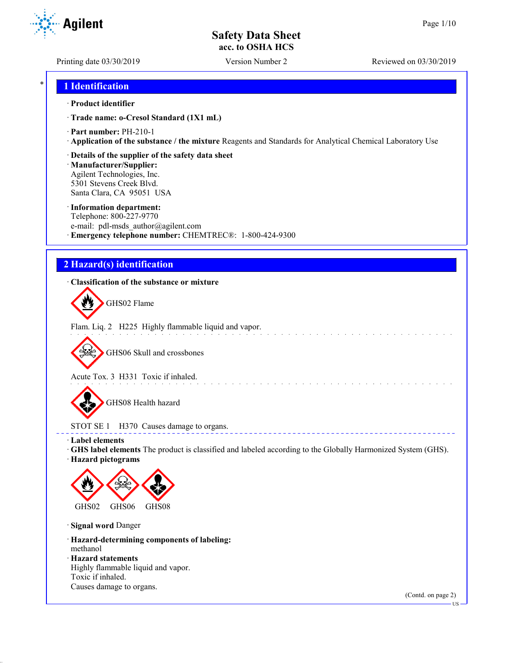Printing date 03/30/2019 Version Number 2 Reviewed on 03/30/2019

## \* **1 Identification**

### · **Product identifier**

· **Trade name: o-Cresol Standard (1X1 mL)**

· **Part number:** PH-210-1

· **Application of the substance / the mixture** Reagents and Standards for Analytical Chemical Laboratory Use

### · **Details of the supplier of the safety data sheet**

· **Manufacturer/Supplier:** Agilent Technologies, Inc. 5301 Stevens Creek Blvd. Santa Clara, CA 95051 USA

#### · **Information department:**

Telephone: 800-227-9770 e-mail: pdl-msds author@agilent.com · **Emergency telephone number:** CHEMTREC®: 1-800-424-9300

# **2 Hazard(s) identification**

### · **Classification of the substance or mixture**

GHS02 Flame

Flam. Liq. 2 H225 Highly flammable liquid and vapor.

GHS06 Skull and crossbones

Acute Tox. 3 H331 Toxic if inhaled.

GHS08 Health hazard

## STOT SE 1 H370 Causes damage to organs.

· **Label elements**

· **GHS label elements** The product is classified and labeled according to the Globally Harmonized System (GHS).

and a straight and a straight

**ELECT** 

· **Hazard pictograms**



· **Signal word** Danger

· **Hazard-determining components of labeling:** methanol

· **Hazard statements**

Highly flammable liquid and vapor. Toxic if inhaled. Causes damage to organs.

(Contd. on page 2)



US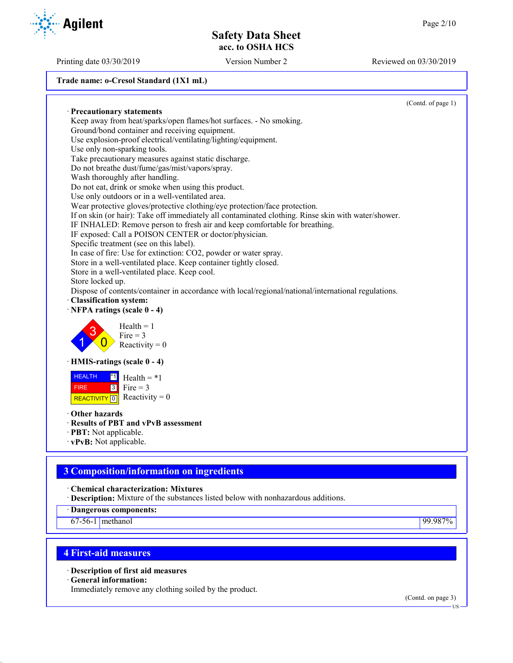**Trade name: o-Cresol Standard (1X1 mL)**

(Contd. of page 1) · **Precautionary statements** Keep away from heat/sparks/open flames/hot surfaces. - No smoking. Ground/bond container and receiving equipment. Use explosion-proof electrical/ventilating/lighting/equipment. Use only non-sparking tools. Take precautionary measures against static discharge. Do not breathe dust/fume/gas/mist/vapors/spray. Wash thoroughly after handling. Do not eat, drink or smoke when using this product. Use only outdoors or in a well-ventilated area. Wear protective gloves/protective clothing/eye protection/face protection. If on skin (or hair): Take off immediately all contaminated clothing. Rinse skin with water/shower. IF INHALED: Remove person to fresh air and keep comfortable for breathing. IF exposed: Call a POISON CENTER or doctor/physician. Specific treatment (see on this label). In case of fire: Use for extinction: CO2, powder or water spray. Store in a well-ventilated place. Keep container tightly closed. Store in a well-ventilated place. Keep cool. Store locked up. Dispose of contents/container in accordance with local/regional/national/international regulations. · **Classification system:** · **NFPA ratings (scale 0 - 4)** 1 3  $\overline{0}$  $Health = 1$  $Fire = 3$ Reactivity  $= 0$ · **HMIS-ratings (scale 0 - 4)** HEALTH FIRE REACTIVITY  $\boxed{0}$  Reactivity = 0  $\overline{1}$  Health = \*1  $3$  Fire = 3 · **Other hazards** · **Results of PBT and vPvB assessment** · **PBT:** Not applicable. · **vPvB:** Not applicable.

# **3 Composition/information on ingredients**

· **Chemical characterization: Mixtures**

· **Description:** Mixture of the substances listed below with nonhazardous additions.

· **Dangerous components:**

67-56-1 methanol 99.987%

# **4 First-aid measures**

· **Description of first aid measures**

· **General information:**

Immediately remove any clothing soiled by the product.

(Contd. on page 3)



Printing date 03/30/2019 Version Number 2 Reviewed on 03/30/2019

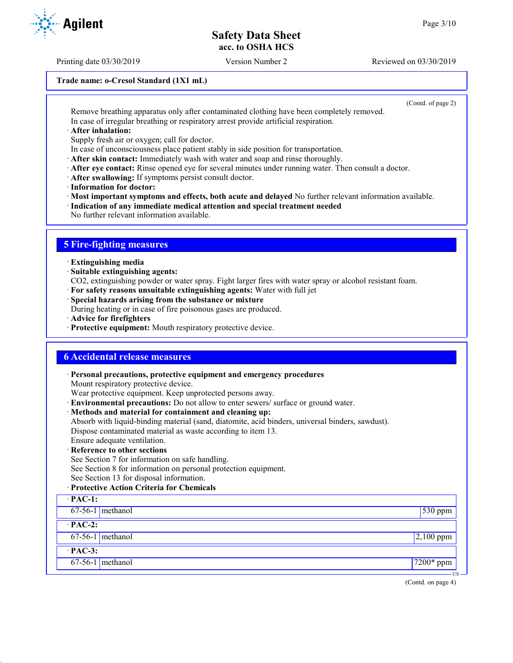Printing date 03/30/2019 Version Number 2 Reviewed on 03/30/2019

#### **Trade name: o-Cresol Standard (1X1 mL)**

(Contd. of page 2)

Remove breathing apparatus only after contaminated clothing have been completely removed. In case of irregular breathing or respiratory arrest provide artificial respiration.

· **After inhalation:**

Supply fresh air or oxygen; call for doctor.

- In case of unconsciousness place patient stably in side position for transportation.
- · **After skin contact:** Immediately wash with water and soap and rinse thoroughly.
- · **After eye contact:** Rinse opened eye for several minutes under running water. Then consult a doctor.
- · **After swallowing:** If symptoms persist consult doctor.
- · **Information for doctor:**

· **Most important symptoms and effects, both acute and delayed** No further relevant information available.

- · **Indication of any immediate medical attention and special treatment needed**
- No further relevant information available.

# **5 Fire-fighting measures**

- · **Extinguishing media**
- · **Suitable extinguishing agents:**
- CO2, extinguishing powder or water spray. Fight larger fires with water spray or alcohol resistant foam.
- · **For safety reasons unsuitable extinguishing agents:** Water with full jet
- · **Special hazards arising from the substance or mixture**

During heating or in case of fire poisonous gases are produced.

- · **Advice for firefighters**
- · **Protective equipment:** Mouth respiratory protective device.

## **6 Accidental release measures**

· **Personal precautions, protective equipment and emergency procedures** Mount respiratory protective device. Wear protective equipment. Keep unprotected persons away. · **Environmental precautions:** Do not allow to enter sewers/ surface or ground water. · **Methods and material for containment and cleaning up:** Absorb with liquid-binding material (sand, diatomite, acid binders, universal binders, sawdust). Dispose contaminated material as waste according to item 13. Ensure adequate ventilation. · **Reference to other sections** See Section 7 for information on safe handling. See Section 8 for information on personal protection equipment. See Section 13 for disposal information. · **Protective Action Criteria for Chemicals** · **PAC-1:** 67-56-1 methanol 530 ppm · **PAC-2:**  $67-56-1$  methanol 2,100 ppm · **PAC-3:** 67-56-1 methanol 7200\* ppm



US

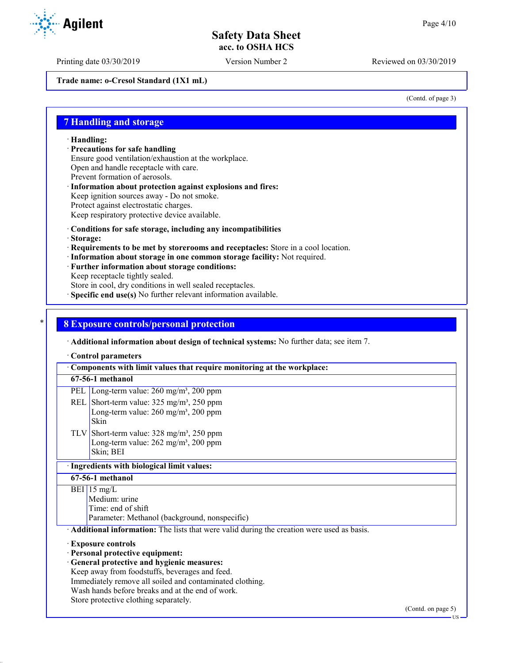Printing date 03/30/2019 Version Number 2 Reviewed on 03/30/2019

**Trade name: o-Cresol Standard (1X1 mL)**

(Contd. of page 3)

### **7 Handling and storage**

· **Handling:**

· **Precautions for safe handling**

Ensure good ventilation/exhaustion at the workplace.

Open and handle receptacle with care.

- Prevent formation of aerosols.
- · **Information about protection against explosions and fires:** Keep ignition sources away - Do not smoke. Protect against electrostatic charges.
- Keep respiratory protective device available.

- · **Conditions for safe storage, including any incompatibilities**
- · **Storage:**
- · **Requirements to be met by storerooms and receptacles:** Store in a cool location.
- · **Information about storage in one common storage facility:** Not required.
- · **Further information about storage conditions:**

Keep receptacle tightly sealed.

Store in cool, dry conditions in well sealed receptacles.

· **Specific end use(s)** No further relevant information available.

### \* **8 Exposure controls/personal protection**

· **Additional information about design of technical systems:** No further data; see item 7.

· **Control parameters**

· **Components with limit values that require monitoring at the workplace: 67-56-1 methanol** PEL Long-term value: 260 mg/m<sup>3</sup>, 200 ppm REL Short-term value:  $325 \text{ mg/m}^3$ ,  $250 \text{ ppm}$ Long-term value:  $260$  mg/m<sup>3</sup>,  $200$  ppm Skin TLV Short-term value:  $328 \text{ mg/m}^3$ ,  $250 \text{ ppm}$ Long-term value:  $262$  mg/m<sup>3</sup>,  $200$  ppm Skin; BEI · **Ingredients with biological limit values: 67-56-1 methanol**  $BEI$  15 mg/L Medium: urine Time: end of shift Parameter: Methanol (background, nonspecific) · **Additional information:** The lists that were valid during the creation were used as basis. · **Exposure controls** · **Personal protective equipment:** · **General protective and hygienic measures:** Keep away from foodstuffs, beverages and feed. Immediately remove all soiled and contaminated clothing. Wash hands before breaks and at the end of work.

Store protective clothing separately.

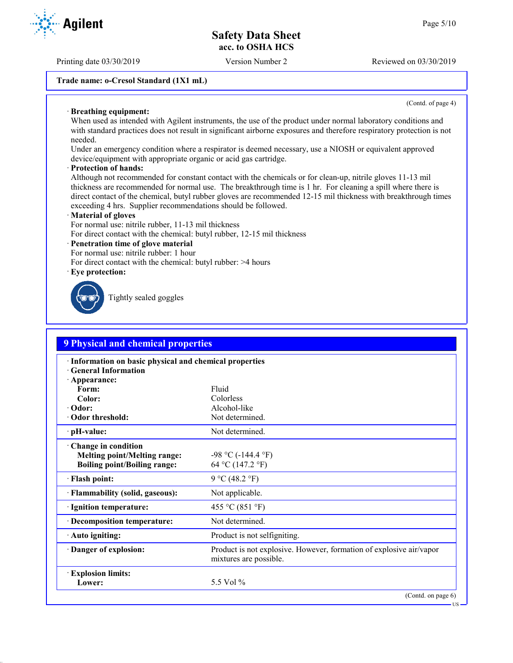Printing date 03/30/2019 Version Number 2 Reviewed on 03/30/2019

#### **Trade name: o-Cresol Standard (1X1 mL)**

(Contd. of page 4)

US

#### · **Breathing equipment:**

When used as intended with Agilent instruments, the use of the product under normal laboratory conditions and with standard practices does not result in significant airborne exposures and therefore respiratory protection is not needed.

Under an emergency condition where a respirator is deemed necessary, use a NIOSH or equivalent approved device/equipment with appropriate organic or acid gas cartridge.

#### · **Protection of hands:**

Although not recommended for constant contact with the chemicals or for clean-up, nitrile gloves 11-13 mil thickness are recommended for normal use. The breakthrough time is 1 hr. For cleaning a spill where there is direct contact of the chemical, butyl rubber gloves are recommended 12-15 mil thickness with breakthrough times exceeding 4 hrs. Supplier recommendations should be followed.

#### · **Material of gloves**

For normal use: nitrile rubber, 11-13 mil thickness

For direct contact with the chemical: butyl rubber, 12-15 mil thickness

#### · **Penetration time of glove material**

For normal use: nitrile rubber: 1 hour

For direct contact with the chemical: butyl rubber: >4 hours

· **Eye protection:**



Tightly sealed goggles

| <b>9 Physical and chemical properties</b>                                                           |                                                                                               |  |  |  |
|-----------------------------------------------------------------------------------------------------|-----------------------------------------------------------------------------------------------|--|--|--|
| · Information on basic physical and chemical properties<br><b>General Information</b>               |                                                                                               |  |  |  |
| · Appearance:<br>Form:                                                                              | Fluid                                                                                         |  |  |  |
| Color:                                                                                              | Colorless                                                                                     |  |  |  |
| · Odor:                                                                                             | Alcohol-like                                                                                  |  |  |  |
| Odor threshold:                                                                                     | Not determined.                                                                               |  |  |  |
| $\cdot$ pH-value:                                                                                   | Not determined.                                                                               |  |  |  |
| · Change in condition<br><b>Melting point/Melting range:</b><br><b>Boiling point/Boiling range:</b> | $-98$ °C ( $-144.4$ °F)<br>64 °C (147.2 °F)                                                   |  |  |  |
| · Flash point:                                                                                      | 9 °C (48.2 °F)                                                                                |  |  |  |
| · Flammability (solid, gaseous):                                                                    | Not applicable.                                                                               |  |  |  |
| · Ignition temperature:                                                                             | 455 °C (851 °F)                                                                               |  |  |  |
| · Decomposition temperature:                                                                        | Not determined.                                                                               |  |  |  |
| · Auto igniting:                                                                                    | Product is not selfigniting.                                                                  |  |  |  |
| Danger of explosion:                                                                                | Product is not explosive. However, formation of explosive air/vapor<br>mixtures are possible. |  |  |  |
| <b>Explosion limits:</b><br>Lower:                                                                  | 5.5 Vol %                                                                                     |  |  |  |
|                                                                                                     | (Contd. on page 6)                                                                            |  |  |  |

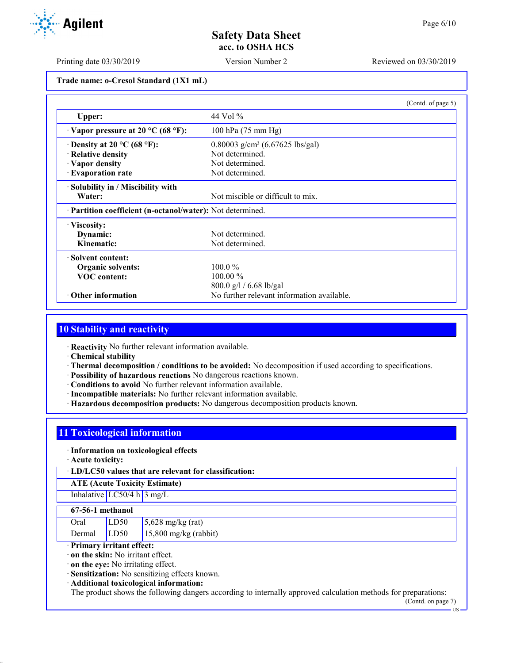Printing date 03/30/2019 Version Number 2 Reviewed on 03/30/2019

**Trade name: o-Cresol Standard (1X1 mL)**

|                                                            |                                            | (Contd. of page 5) |
|------------------------------------------------------------|--------------------------------------------|--------------------|
| Upper:                                                     | 44 Vol $\%$                                |                    |
| $\cdot$ Vapor pressure at 20 °C (68 °F):                   | 100 hPa (75 mm Hg)                         |                    |
| $\cdot$ Density at 20 °C (68 °F):                          | 0.80003 $g/cm^3$ (6.67625 lbs/gal)         |                    |
| · Relative density                                         | Not determined.                            |                    |
| $\cdot$ Vapor density                                      | Not determined.                            |                    |
| · Evaporation rate                                         | Not determined.                            |                    |
| · Solubility in / Miscibility with                         |                                            |                    |
| Water:                                                     | Not miscible or difficult to mix.          |                    |
| · Partition coefficient (n-octanol/water): Not determined. |                                            |                    |
| · Viscosity:                                               |                                            |                    |
| Dynamic:                                                   | Not determined.                            |                    |
| Kinematic:                                                 | Not determined.                            |                    |
| · Solvent content:                                         |                                            |                    |
| <b>Organic solvents:</b>                                   | $100.0\%$                                  |                    |
| <b>VOC</b> content:                                        | $100.00\%$                                 |                    |
|                                                            | $800.0$ g/l / 6.68 lb/gal                  |                    |
| $\cdot$ Other information                                  | No further relevant information available. |                    |

# **10 Stability and reactivity**

· **Reactivity** No further relevant information available.

- · **Chemical stability**
- · **Thermal decomposition / conditions to be avoided:** No decomposition if used according to specifications.
- · **Possibility of hazardous reactions** No dangerous reactions known.
- · **Conditions to avoid** No further relevant information available.
- · **Incompatible materials:** No further relevant information available.
- · **Hazardous decomposition products:** No dangerous decomposition products known.

## **11 Toxicological information**

#### · **Information on toxicological effects**

· **Acute toxicity:**

· **LD/LC50 values that are relevant for classification:**

**ATE (Acute Toxicity Estimate)**

# Inhalative  $LC50/4$  h  $3$  mg/L

#### **67-56-1 methanol**

| Oral   | LD50 | $5,628$ mg/kg (rat)     |
|--------|------|-------------------------|
| Dermal | LD50 | $15,800$ mg/kg (rabbit) |

### · **Primary irritant effect:**

· **on the skin:** No irritant effect.

· **on the eye:** No irritating effect.

· **Sensitization:** No sensitizing effects known.

· **Additional toxicological information:**

The product shows the following dangers according to internally approved calculation methods for preparations:

(Contd. on page 7)

**Agilent**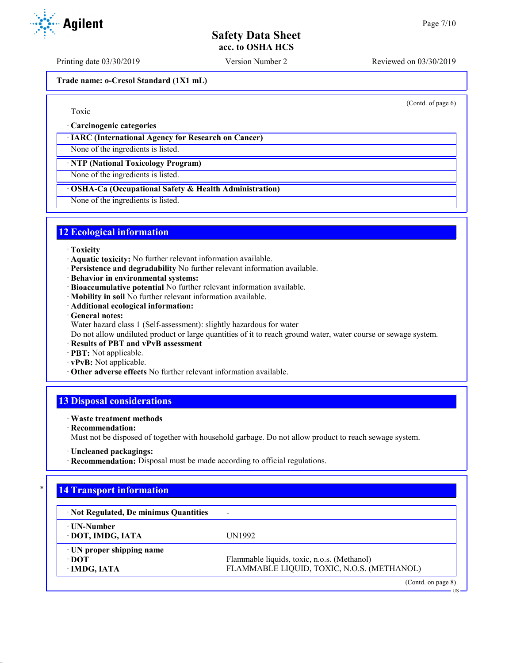Printing date 03/30/2019 Version Number 2 Reviewed on 03/30/2019

**Trade name: o-Cresol Standard (1X1 mL)**

## Toxic

· **Carcinogenic categories**

### · **IARC (International Agency for Research on Cancer)**

None of the ingredients is listed.

· **NTP (National Toxicology Program)**

None of the ingredients is listed.

## · **OSHA-Ca (Occupational Safety & Health Administration)**

None of the ingredients is listed.

# **12 Ecological information**

#### · **Toxicity**

- · **Aquatic toxicity:** No further relevant information available.
- · **Persistence and degradability** No further relevant information available.
- · **Behavior in environmental systems:**
- · **Bioaccumulative potential** No further relevant information available.
- · **Mobility in soil** No further relevant information available.
- · **Additional ecological information:**
- · **General notes:**
- Water hazard class 1 (Self-assessment): slightly hazardous for water

Do not allow undiluted product or large quantities of it to reach ground water, water course or sewage system.

- · **Results of PBT and vPvB assessment**
- · **PBT:** Not applicable.
- · **vPvB:** Not applicable.
- · **Other adverse effects** No further relevant information available.

# **13 Disposal considerations**

### · **Waste treatment methods**

· **Recommendation:**

Must not be disposed of together with household garbage. Do not allow product to reach sewage system.

· **Recommendation:** Disposal must be made according to official regulations.

# **14 Transport information**

| · Not Regulated, De minimus Quantities                         | $\overline{\phantom{0}}$                                                                  |
|----------------------------------------------------------------|-------------------------------------------------------------------------------------------|
| ⋅ UN-Number<br>· DOT, IMDG, IATA                               | UN1992                                                                                    |
| $\cdot$ UN proper shipping name<br>$\cdot$ DOT<br>· IMDG, IATA | Flammable liquids, toxic, n.o.s. (Methanol)<br>FLAMMABLE LIQUID, TOXIC, N.O.S. (METHANOL) |
|                                                                | (Contd. on page 8)                                                                        |



(Contd. of page 6)

US

<sup>·</sup> **Uncleaned packagings:**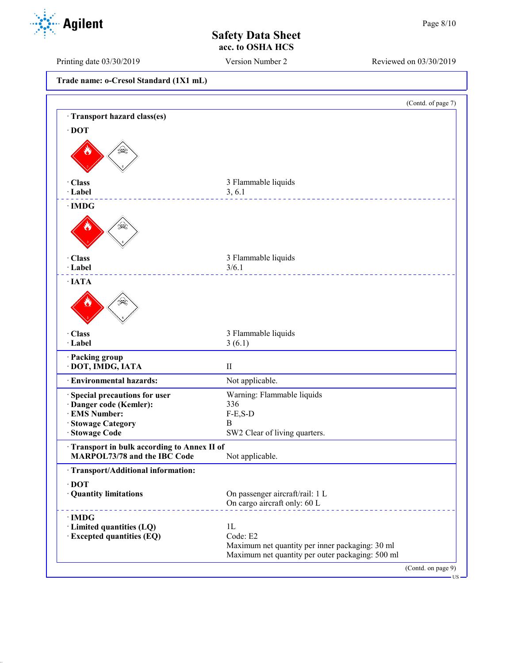Printing date 03/30/2019 Version Number 2 Reviewed on 03/30/2019

**Trade name: o-Cresol Standard (1X1 mL)**

|                                            | (Contd. of page 7)                                                                                  |
|--------------------------------------------|-----------------------------------------------------------------------------------------------------|
| Transport hazard class(es)                 |                                                                                                     |
| $\cdot$ DOT                                |                                                                                                     |
|                                            |                                                                                                     |
| · Class                                    | 3 Flammable liquids                                                                                 |
| · Label                                    | 3, 6.1                                                                                              |
| $\cdot$ IMDG                               |                                                                                                     |
|                                            |                                                                                                     |
| · Class                                    | 3 Flammable liquids                                                                                 |
| · Label                                    | 3/6.1                                                                                               |
| $\cdot$ IATA                               |                                                                                                     |
| · Class                                    |                                                                                                     |
| · Label                                    | 3 Flammable liquids<br>3(6.1)                                                                       |
| · Packing group<br>· DOT, IMDG, IATA       | $\mathbf{I}$                                                                                        |
| · Environmental hazards:                   | Not applicable.                                                                                     |
| Special precautions for user               | Warning: Flammable liquids                                                                          |
| · Danger code (Kemler):                    | 336                                                                                                 |
| · EMS Number:                              | $F-E, S-D$<br>B                                                                                     |
| · Stowage Category<br><b>Stowage Code</b>  | SW2 Clear of living quarters.                                                                       |
| Transport in bulk according to Annex II of |                                                                                                     |
| MARPOL73/78 and the IBC Code               | Not applicable.                                                                                     |
| · Transport/Additional information:        |                                                                                                     |
| $\cdot$ DOT                                |                                                                                                     |
| · Quantity limitations                     | On passenger aircraft/rail: 1 L<br>On cargo aircraft only: 60 L                                     |
| $\cdot$ IMDG                               |                                                                                                     |
| · Limited quantities (LQ)                  | 1L                                                                                                  |
| · Excepted quantities (EQ)                 | Code: E2                                                                                            |
|                                            | Maximum net quantity per inner packaging: 30 ml<br>Maximum net quantity per outer packaging: 500 ml |
|                                            |                                                                                                     |

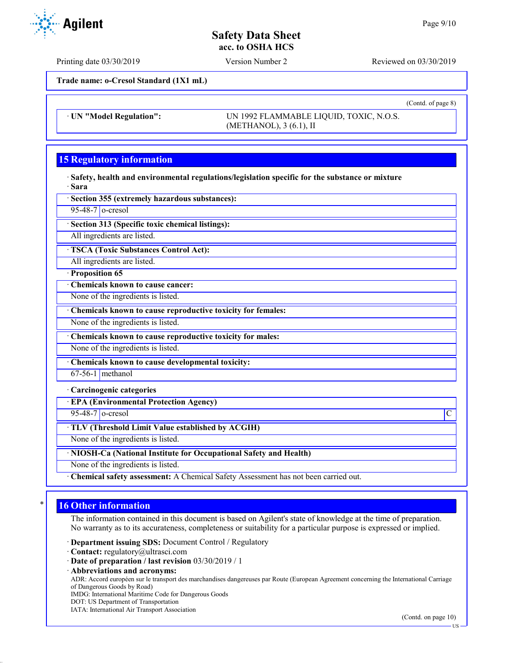**Trade name: o-Cresol Standard (1X1 mL)**

· **UN "Model Regulation":** UN 1992 FLAMMABLE LIQUID, TOXIC, N.O.S. (METHANOL), 3 (6.1), II

# **15 Regulatory information**

· **Safety, health and environmental regulations/legislation specific for the substance or mixture** · **Sara**

· **Section 355 (extremely hazardous substances):**

 $95-48-7$  o-cresol

· **Section 313 (Specific toxic chemical listings):**

All ingredients are listed.

· **TSCA (Toxic Substances Control Act):**

All ingredients are listed.

· **Proposition 65**

· **Chemicals known to cause cancer:**

None of the ingredients is listed.

· **Chemicals known to cause reproductive toxicity for females:**

None of the ingredients is listed.

· **Chemicals known to cause reproductive toxicity for males:**

None of the ingredients is listed.

· **Chemicals known to cause developmental toxicity:**

67-56-1 methanol

#### · **Carcinogenic categories**

· **EPA (Environmental Protection Agency)**

 $95-48-7$  o-cresol  $\vert$ C

· **TLV (Threshold Limit Value established by ACGIH)**

None of the ingredients is listed.

### · **NIOSH-Ca (National Institute for Occupational Safety and Health)**

None of the ingredients is listed.

· **Chemical safety assessment:** A Chemical Safety Assessment has not been carried out.

## **16 Other information**

The information contained in this document is based on Agilent's state of knowledge at the time of preparation. No warranty as to its accurateness, completeness or suitability for a particular purpose is expressed or implied.

· **Department issuing SDS:** Document Control / Regulatory

· **Contact:** regulatory@ultrasci.com

· **Abbreviations and acronyms:**

ADR: Accord européen sur le transport des marchandises dangereuses par Route (European Agreement concerning the International Carriage of Dangerous Goods by Road)

IMDG: International Maritime Code for Dangerous Goods

- DOT: US Department of Transportation
- IATA: International Air Transport Association



Printing date 03/30/2019 Version Number 2 Reviewed on 03/30/2019

(Contd. of page 8)

<sup>·</sup> **Date of preparation / last revision** 03/30/2019 / 1